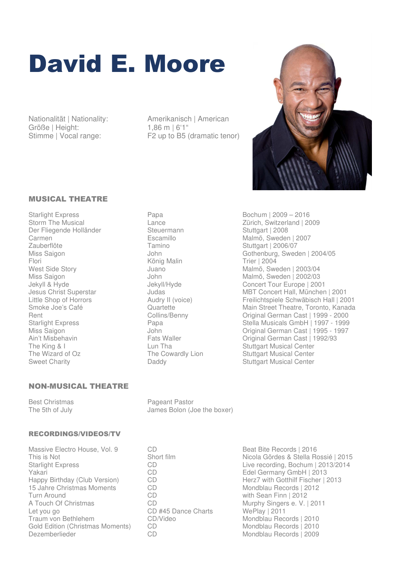# David E. Moore

Größe | Height: 1,86 m | 6'1"<br>Stimme | Vocal range: F2 up to B5

Nationalität | Nationality: Amerikanisch | American F2 up to B5 (dramatic tenor)



### MUSICAL THEATRE

Starlight Express **Papa** Papa Bochum | 2009 – 2016 Der Fliegende Holländer Steuermann Stuttgart | 2008 Carmen Escamillo Malmö, Sweden | 2007 Zauberflöte Tamino Tamino Stuttgart | 2006/07<br>
Miss Saigon Stuttgart | 2006/07<br>
John Gothenburg, Swed Flori König Malin Trier | 2004 The King & I Lun Tha Stuttgart Musical Center The Wizard of Oz **The Cowardly Lion** Stuttgart Musical Center Sweet Charity **Stuttgart Charity** Daddy **Stuttgart Musical Center** Charity **Stuttgart Musical Center** 

## NON-MUSICAL THEATRE

#### RECORDINGS/VIDEOS/TV

Massive Electro House, Vol. 9 CD<br>
This is Not Controller Short film<br>
Short film Controller College Records & Stella Records & Stella Records & Stella Records & Stella Records & Stella Records & Stella Records & Stella Reco Yakari CD Edel Germany GmbH | 2013 15 Jahre Christmas Moments CD<br>Turn Around CD Turn Around CD CD CD with Sean Finn | 2012<br>
A Touch Of Christmas CD CD Murphy Singers e. V. I A Touch Of Christmas CD CD<br>
Let you go CD #45 Dance Charts WePlay | 2011<br>
CD #45 Dance Charts WePlay | 2011 Let you go <br>
Traum von Bethlehem 
CD/Video Gold Edition (Christmas Moments) CD<br>Dezemberlieder CD

Storm The Musical **Lance** Lance **Zürich, Switzerland | 2009** John Gothenburg, Sweden | 2004/05 West Side Story **Malmö**, Sweden | 2003/04 Miss Saigon John Malmö, Sweden | 2002/03 Jekyll & Hyde Jekyll/Hyde Concert Tour Europe | 2001 Jesus Christ Superstar MBT Concert Hall, München | 2001<br>Little Shop of Horrors Audry II (voice) Freilichtspiele Schwäbisch Hall | 20 Little Shop of Horrors Audry II (voice) Freilichtspiele Schwäbisch Hall | 2001 Quartette Main Street Theatre, Toronto, Kanada Rent Collins/Benny Collins/Denny Criginal German Cast | 1999 - 2000 Starlight Express **Starlight Express** Papa Charles Stella Musicals GmbH | 1997 - 1999 Miss Saigon **Miss Saigon** John John Cast | 1995 - 1997<br>Ain't Misbehavin **Cast | 1992/93** Criginal German Cast | 1992/93 Ain't Misbehavin **Fats Waller** Fats Waller **Communist Communist Communist Parameter** Original German Cast | 1992/93

Best Christmas<br>
The 5th of July<br>
The 5th of July<br>
Pageant Pastor James Bolon (Joe the boxer)

This is Not **Short film** Short film Nicola Gördes & Stella Rossié | 2015<br>
Starlight Express CD CD Live recording. Bochum | 2013/2014 Live recording, Bochum | 2013/2014 CD<br>CD Herz7 with Gotthilf Fischer | 2013<br>Mondblau Records | 2012 Traum Von Bethlehem Mondblau Records | 2010<br>Traum Von Bethlehem Mondblau Records | 2010 Mondblau Records | 2009